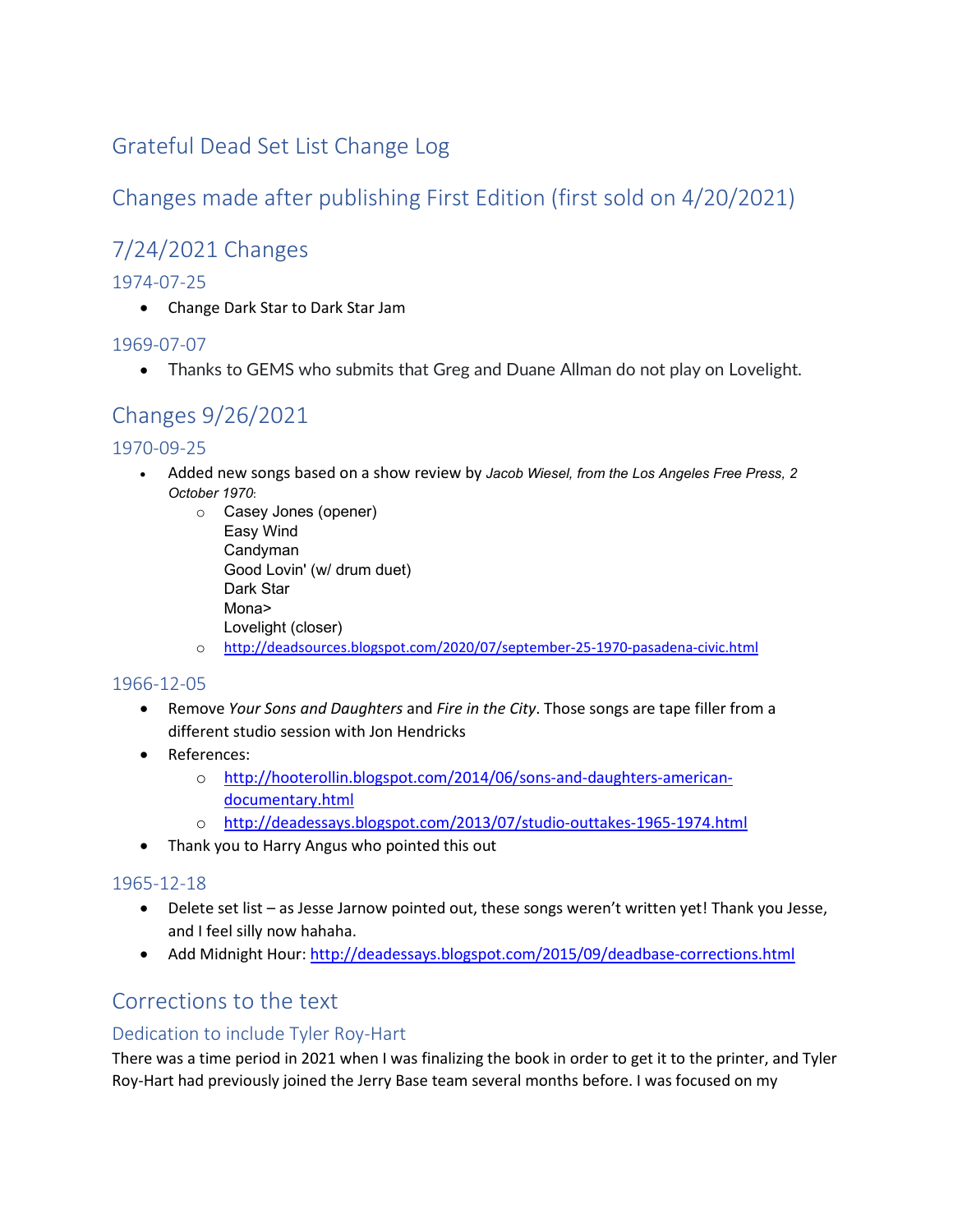### Grateful Dead Set List Change Log

## Changes made after publishing First Edition (first sold on 4/20/2021)

# 7/24/2021 Changes

#### 1974-07-25

• Change Dark Star to Dark Star Jam

#### 1969-07-07

• Thanks to GEMS who submits that Greg and Duane Allman do not play on Lovelight.

# Changes 9/26/2021

#### 1970-09-25

- Added new songs based on a show review by *Jacob Wiesel, from the Los Angeles Free Press, 2 October 1970*:
	- o Casey Jones (opener) Easy Wind Candyman Good Lovin' (w/ drum duet) Dark Star Mona> Lovelight (closer)
	- o <http://deadsources.blogspot.com/2020/07/september-25-1970-pasadena-civic.html>

#### 1966-12-05

- Remove *Your Sons and Daughters* and *Fire in the City*. Those songs are tape filler from a different studio session with Jon Hendricks
- References:
	- o [http://hooterollin.blogspot.com/2014/06/sons-and-daughters-american](http://hooterollin.blogspot.com/2014/06/sons-and-daughters-american-documentary.html)[documentary.html](http://hooterollin.blogspot.com/2014/06/sons-and-daughters-american-documentary.html)
	- o <http://deadessays.blogspot.com/2013/07/studio-outtakes-1965-1974.html>
- Thank you to Harry Angus who pointed this out

#### 1965-12-18

- Delete set list as Jesse Jarnow pointed out, these songs weren't written yet! Thank you Jesse, and I feel silly now hahaha.
- Add Midnight Hour: <http://deadessays.blogspot.com/2015/09/deadbase-corrections.html>

### Corrections to the text

#### Dedication to include Tyler Roy-Hart

There was a time period in 2021 when I was finalizing the book in order to get it to the printer, and Tyler Roy-Hart had previously joined the Jerry Base team several months before. I was focused on my